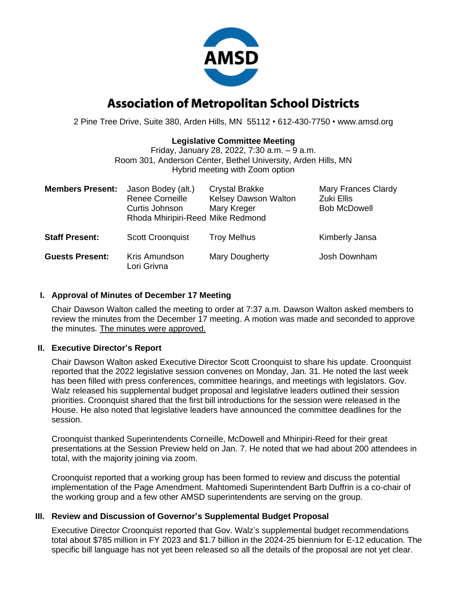

# **Association of Metropolitan School Districts**

2 Pine Tree Drive, Suite 380, Arden Hills, MN 55112 • 612-430-7750 • www.amsd.org

### **Legislative Committee Meeting**

Friday, January 28, 2022, 7:30 a.m. – 9 a.m. Room 301, Anderson Center, Bethel University, Arden Hills, MN Hybrid meeting with Zoom option

| <b>Members Present:</b> | Jason Bodey (alt.)<br><b>Renee Corneille</b><br>Curtis Johnson<br>Rhoda Mhiripiri-Reed Mike Redmond | <b>Crystal Brakke</b><br><b>Kelsey Dawson Walton</b><br>Mary Kreger | <b>Mary Frances Clardy</b><br>Zuki Ellis<br><b>Bob McDowell</b> |
|-------------------------|-----------------------------------------------------------------------------------------------------|---------------------------------------------------------------------|-----------------------------------------------------------------|
| <b>Staff Present:</b>   | <b>Scott Croonquist</b>                                                                             | <b>Troy Melhus</b>                                                  | Kimberly Jansa                                                  |
| <b>Guests Present:</b>  | Kris Amundson<br>Lori Grivna                                                                        | Mary Dougherty                                                      | Josh Downham                                                    |

### **I. Approval of Minutes of December 17 Meeting**

Chair Dawson Walton called the meeting to order at 7:37 a.m. Dawson Walton asked members to review the minutes from the December 17 meeting. A motion was made and seconded to approve the minutes. The minutes were approved.

### **II. Executive Director's Report**

Chair Dawson Walton asked Executive Director Scott Croonquist to share his update. Croonquist reported that the 2022 legislative session convenes on Monday, Jan. 31. He noted the last week has been filled with press conferences, committee hearings, and meetings with legislators. Gov. Walz released his supplemental budget proposal and legislative leaders outlined their session priorities. Croonquist shared that the first bill introductions for the session were released in the House. He also noted that legislative leaders have announced the committee deadlines for the session.

Croonquist thanked Superintendents Corneille, McDowell and Mhiripiri-Reed for their great presentations at the Session Preview held on Jan. 7. He noted that we had about 200 attendees in total, with the majority joining via zoom.

Croonquist reported that a working group has been formed to review and discuss the potential implementation of the Page Amendment. Mahtomedi Superintendent Barb Duffrin is a co-chair of the working group and a few other AMSD superintendents are serving on the group.

### **III. Review and Discussion of Governor's Supplemental Budget Proposal**

Executive Director Croonquist reported that Gov. Walz's supplemental budget recommendations total about \$785 million in FY 2023 and \$1.7 billion in the 2024-25 biennium for E-12 education. The specific bill language has not yet been released so all the details of the proposal are not yet clear.